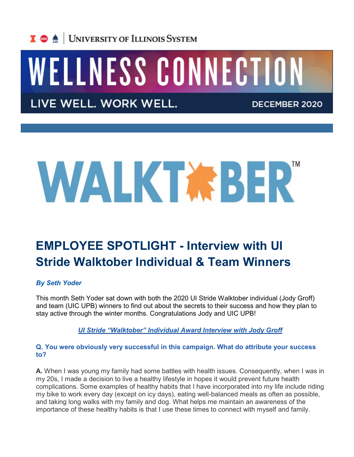

# WELLNESS CONNECTION

LIVE WELL. WORK WELL.

DECEMBER 2020

# WALKTABER"

## **EMPLOYEE SPOTLIGHT - Interview with UI Stride Walktober Individual & Team Winners**

#### *By Seth Yoder*

This month Seth Yoder sat down with both the 2020 UI Stride Walktober individual (Jody Groff) and team (UIC UPB) winners to find out about the secrets to their success and how they plan to stay active through the winter months. Congratulations Jody and UIC UPB!

*UI Stride "Walktober" Individual Award Interview with Jody Groff*

#### **Q. You were obviously very successful in this campaign. What do attribute your success to?**

**A.** When I was young my family had some battles with health issues. Consequently, when I was in my 20s, I made a decision to live a healthy lifestyle in hopes it would prevent future health complications. Some examples of healthy habits that I have incorporated into my life include riding my bike to work every day (except on icy days), eating well-balanced meals as often as possible, and taking long walks with my family and dog. What helps me maintain an awareness of the importance of these healthy habits is that I use these times to connect with myself and family.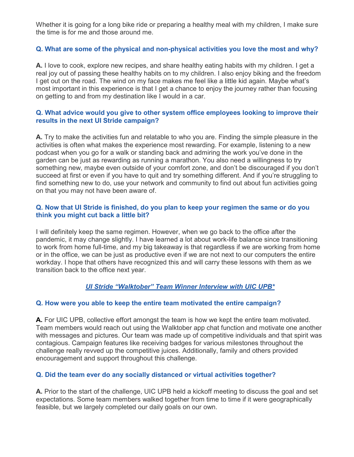Whether it is going for a long bike ride or preparing a healthy meal with my children, I make sure the time is for me and those around me.

#### **Q. What are some of the physical and non-physical activities you love the most and why?**

**A.** I love to cook, explore new recipes, and share healthy eating habits with my children. I get a real joy out of passing these healthy habits on to my children. I also enjoy biking and the freedom I get out on the road. The wind on my face makes me feel like a little kid again. Maybe what's most important in this experience is that I get a chance to enjoy the journey rather than focusing on getting to and from my destination like I would in a car.

#### **Q. What advice would you give to other system office employees looking to improve their results in the next UI Stride campaign?**

**A.** Try to make the activities fun and relatable to who you are. Finding the simple pleasure in the activities is often what makes the experience most rewarding. For example, listening to a new podcast when you go for a walk or standing back and admiring the work you've done in the garden can be just as rewarding as running a marathon. You also need a willingness to try something new, maybe even outside of your comfort zone, and don't be discouraged if you don't succeed at first or even if you have to quit and try something different. And if you're struggling to find something new to do, use your network and community to find out about fun activities going on that you may not have been aware of.

#### **Q. Now that UI Stride is finished, do you plan to keep your regimen the same or do you think you might cut back a little bit?**

I will definitely keep the same regimen. However, when we go back to the office after the pandemic, it may change slightly. I have learned a lot about work-life balance since transitioning to work from home full-time, and my big takeaway is that regardless if we are working from home or in the office, we can be just as productive even if we are not next to our computers the entire workday. I hope that others have recognized this and will carry these lessons with them as we transition back to the office next year.

#### *UI Stride "Walktober" Team Winner Interview with UIC UPB\**

#### **Q. How were you able to keep the entire team motivated the entire campaign?**

**A.** For UIC UPB, collective effort amongst the team is how we kept the entire team motivated. Team members would reach out using the Walktober app chat function and motivate one another with messages and pictures. Our team was made up of competitive individuals and that spirit was contagious. Campaign features like receiving badges for various milestones throughout the challenge really revved up the competitive juices. Additionally, family and others provided encouragement and support throughout this challenge.

#### **Q. Did the team ever do any socially distanced or virtual activities together?**

**A.** Prior to the start of the challenge, UIC UPB held a kickoff meeting to discuss the goal and set expectations. Some team members walked together from time to time if it were geographically feasible, but we largely completed our daily goals on our own.